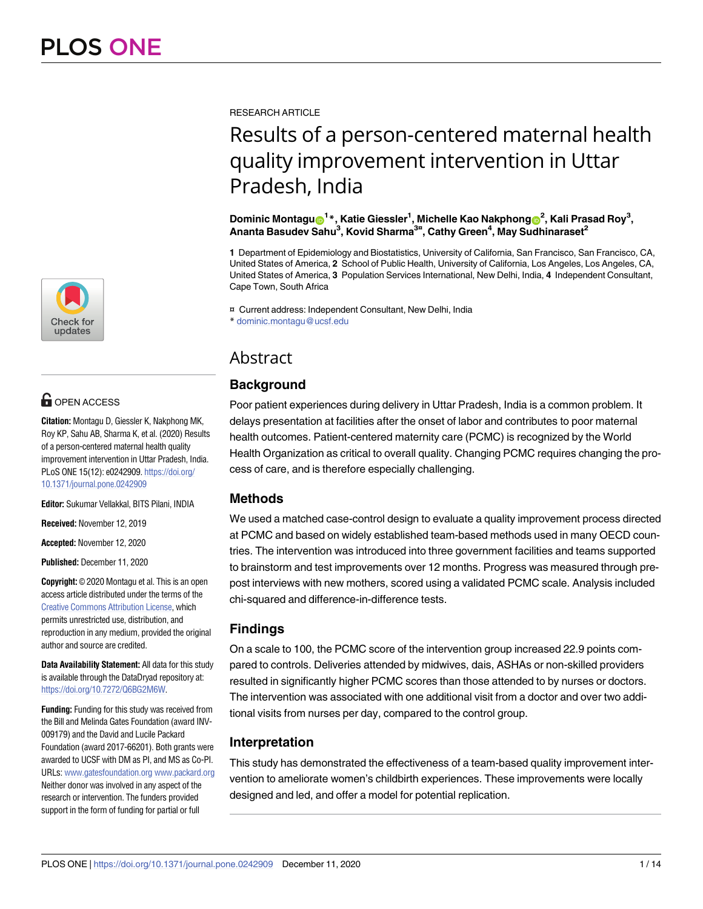

# **OPEN ACCESS**

**Citation:** Montagu D, Giessler K, Nakphong MK, Roy KP, Sahu AB, Sharma K, et al. (2020) Results of a person-centered maternal health quality improvement intervention in Uttar Pradesh, India. PLoS ONE 15(12): e0242909. [https://doi.org/](https://doi.org/10.1371/journal.pone.0242909) [10.1371/journal.pone.0242909](https://doi.org/10.1371/journal.pone.0242909)

**Editor:** Sukumar Vellakkal, BITS Pilani, INDIA

**Received:** November 12, 2019

**Accepted:** November 12, 2020

**Published:** December 11, 2020

**Copyright:** © 2020 Montagu et al. This is an open access article distributed under the terms of the Creative Commons [Attribution](http://creativecommons.org/licenses/by/4.0/) License, which permits unrestricted use, distribution, and reproduction in any medium, provided the original author and source are credited.

**Data Availability Statement:** All data for this study is available through the DataDryad repository at: [https://doi.org/10.7272/Q6BG2M6W.](https://doi.org/10.7272/Q6BG2M6W)

**Funding:** Funding for this study was received from the Bill and Melinda Gates Foundation (award INV-009179) and the David and Lucile Packard Foundation (award 2017-66201). Both grants were awarded to UCSF with DM as PI, and MS as Co-PI. URLs: [www.gatesfoundation.org](http://www.gatesfoundation.org) [www.packard.org](http://www.packard.org) Neither donor was involved in any aspect of the research or intervention. The funders provided support in the form of funding for partial or full

RESEARCH ARTICLE

# Results of a person-centered maternal health quality improvement intervention in Uttar Pradesh, India

#### $\Delta$ Dominic Montagu $\textbf{O}^{1*}$ , Katie Giessler<sup>1</sup>, Michelle Kao Nakphong $\textbf{O}^{2}$ , Kali Prasad Roy $^{3}$ , **Ananta Basudev Sahu3 , Kovid Sharma3¤ , Cathy Green4 , May Sudhinaraset2**

**1** Department of Epidemiology and Biostatistics, University of California, San Francisco, San Francisco, CA, United States of America, **2** School of Public Health, University of California, Los Angeles, Los Angeles, CA, United States of America, **3** Population Services International, New Delhi, India, **4** Independent Consultant, Cape Town, South Africa

¤ Current address: Independent Consultant, New Delhi, India \* dominic.montagu@ucsf.edu

# Abstract

# **Background**

Poor patient experiences during delivery in Uttar Pradesh, India is a common problem. It delays presentation at facilities after the onset of labor and contributes to poor maternal health outcomes. Patient-centered maternity care (PCMC) is recognized by the World Health Organization as critical to overall quality. Changing PCMC requires changing the process of care, and is therefore especially challenging.

# **Methods**

We used a matched case-control design to evaluate a quality improvement process directed at PCMC and based on widely established team-based methods used in many OECD countries. The intervention was introduced into three government facilities and teams supported to brainstorm and test improvements over 12 months. Progress was measured through prepost interviews with new mothers, scored using a validated PCMC scale. Analysis included chi-squared and difference-in-difference tests.

# **Findings**

On a scale to 100, the PCMC score of the intervention group increased 22.9 points compared to controls. Deliveries attended by midwives, dais, ASHAs or non-skilled providers resulted in significantly higher PCMC scores than those attended to by nurses or doctors. The intervention was associated with one additional visit from a doctor and over two additional visits from nurses per day, compared to the control group.

# **Interpretation**

This study has demonstrated the effectiveness of a team-based quality improvement intervention to ameliorate women's childbirth experiences. These improvements were locally designed and led, and offer a model for potential replication.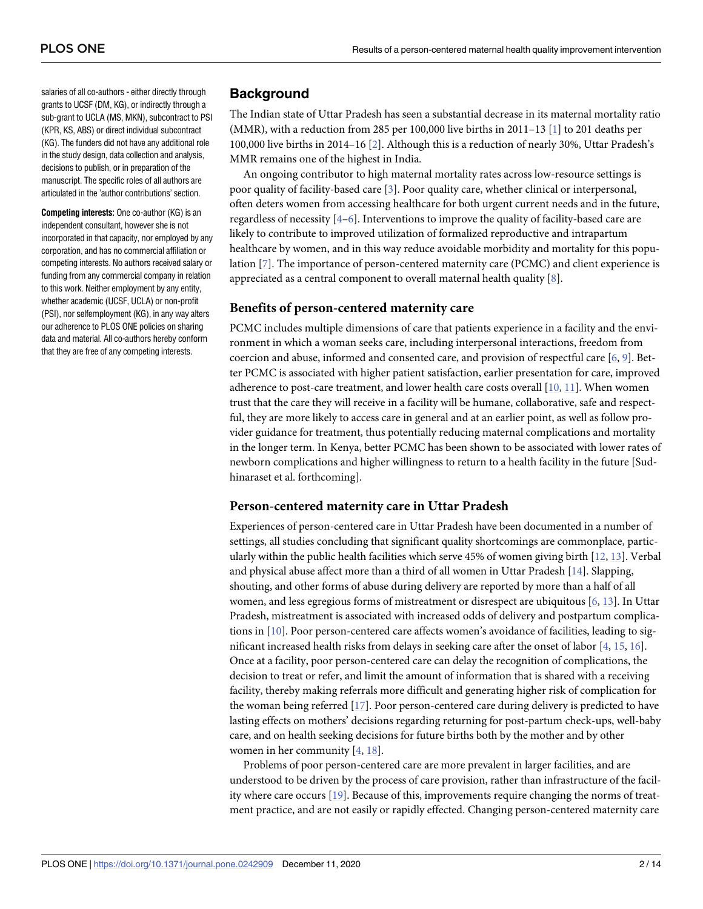<span id="page-1-0"></span>salaries of all co-authors - either directly through grants to UCSF (DM, KG), or indirectly through a sub-grant to UCLA (MS, MKN), subcontract to PSI (KPR, KS, ABS) or direct individual subcontract (KG). The funders did not have any additional role in the study design, data collection and analysis, decisions to publish, or in preparation of the manuscript. The specific roles of all authors are articulated in the 'author contributions' section.

**Competing interests:** One co-author (KG) is an independent consultant, however she is not incorporated in that capacity, nor employed by any corporation, and has no commercial affiliation or competing interests. No authors received salary or funding from any commercial company in relation to this work. Neither employment by any entity, whether academic (UCSF, UCLA) or non-profit (PSI), nor selfemployment (KG), in any way alters our adherence to PLOS ONE policies on sharing data and material. All co-authors hereby conform that they are free of any competing interests.

# **Background**

The Indian state of Uttar Pradesh has seen a substantial decrease in its maternal mortality ratio (MMR), with a reduction from 285 per 100,000 live births in  $2011-13$  [\[1\]](#page-12-0) to 201 deaths per 100,000 live births in 2014–16 [\[2](#page-12-0)]. Although this is a reduction of nearly 30%, Uttar Pradesh's MMR remains one of the highest in India.

An ongoing contributor to high maternal mortality rates across low-resource settings is poor quality of facility-based care [\[3\]](#page-12-0). Poor quality care, whether clinical or interpersonal, often deters women from accessing healthcare for both urgent current needs and in the future, regardless of necessity [\[4–6](#page-12-0)]. Interventions to improve the quality of facility-based care are likely to contribute to improved utilization of formalized reproductive and intrapartum healthcare by women, and in this way reduce avoidable morbidity and mortality for this population [[7](#page-12-0)]. The importance of person-centered maternity care (PCMC) and client experience is appreciated as a central component to overall maternal health quality [\[8\]](#page-12-0).

## **Benefits of person-centered maternity care**

PCMC includes multiple dimensions of care that patients experience in a facility and the environment in which a woman seeks care, including interpersonal interactions, freedom from coercion and abuse, informed and consented care, and provision of respectful care [[6,](#page-12-0) [9\]](#page-12-0). Better PCMC is associated with higher patient satisfaction, earlier presentation for care, improved adherence to post-care treatment, and lower health care costs overall [[10](#page-12-0), [11](#page-12-0)]. When women trust that the care they will receive in a facility will be humane, collaborative, safe and respectful, they are more likely to access care in general and at an earlier point, as well as follow provider guidance for treatment, thus potentially reducing maternal complications and mortality in the longer term. In Kenya, better PCMC has been shown to be associated with lower rates of newborn complications and higher willingness to return to a health facility in the future [Sudhinaraset et al. forthcoming].

#### **Person-centered maternity care in Uttar Pradesh**

Experiences of person-centered care in Uttar Pradesh have been documented in a number of settings, all studies concluding that significant quality shortcomings are commonplace, particularly within the public health facilities which serve 45% of women giving birth [\[12,](#page-12-0) [13](#page-12-0)]. Verbal and physical abuse affect more than a third of all women in Uttar Pradesh [[14](#page-12-0)]. Slapping, shouting, and other forms of abuse during delivery are reported by more than a half of all women, and less egregious forms of mistreatment or disrespect are ubiquitous [[6](#page-12-0), [13](#page-12-0)]. In Uttar Pradesh, mistreatment is associated with increased odds of delivery and postpartum complications in [[10](#page-12-0)]. Poor person-centered care affects women's avoidance of facilities, leading to significant increased health risks from delays in seeking care after the onset of labor [\[4](#page-12-0), [15](#page-12-0), [16](#page-12-0)]. Once at a facility, poor person-centered care can delay the recognition of complications, the decision to treat or refer, and limit the amount of information that is shared with a receiving facility, thereby making referrals more difficult and generating higher risk of complication for the woman being referred [[17](#page-12-0)]. Poor person-centered care during delivery is predicted to have lasting effects on mothers' decisions regarding returning for post-partum check-ups, well-baby care, and on health seeking decisions for future births both by the mother and by other women in her community [\[4,](#page-12-0) [18\]](#page-12-0).

Problems of poor person-centered care are more prevalent in larger facilities, and are understood to be driven by the process of care provision, rather than infrastructure of the facility where care occurs [\[19\]](#page-13-0). Because of this, improvements require changing the norms of treatment practice, and are not easily or rapidly effected. Changing person-centered maternity care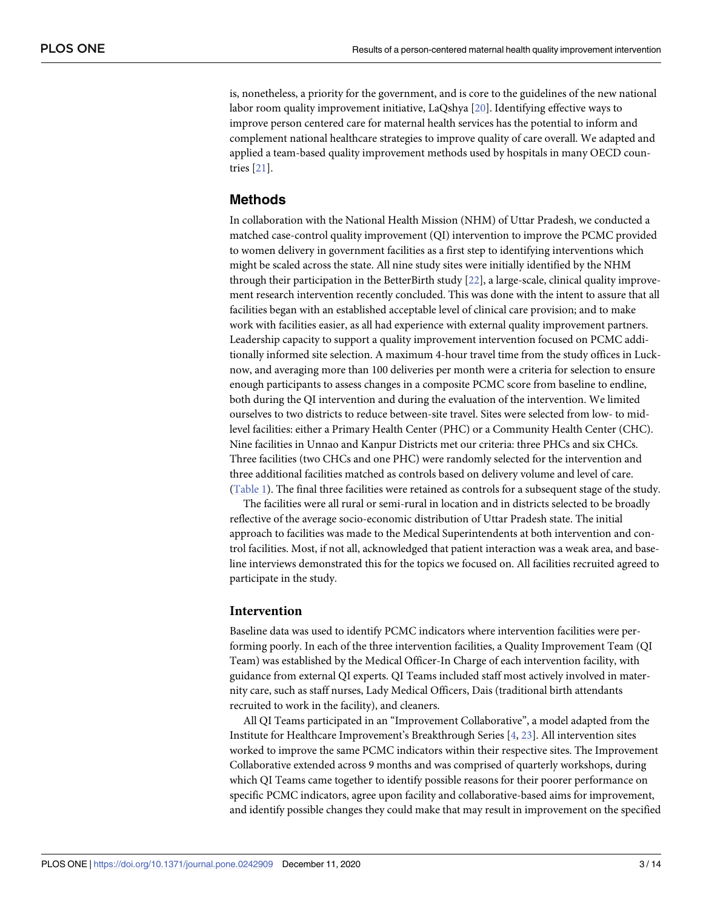<span id="page-2-0"></span>is, nonetheless, a priority for the government, and is core to the guidelines of the new national labor room quality improvement initiative, LaQshya [[20](#page-13-0)]. Identifying effective ways to improve person centered care for maternal health services has the potential to inform and complement national healthcare strategies to improve quality of care overall. We adapted and applied a team-based quality improvement methods used by hospitals in many OECD countries [[21](#page-13-0)].

#### **Methods**

In collaboration with the National Health Mission (NHM) of Uttar Pradesh, we conducted a matched case-control quality improvement (QI) intervention to improve the PCMC provided to women delivery in government facilities as a first step to identifying interventions which might be scaled across the state. All nine study sites were initially identified by the NHM through their participation in the BetterBirth study [\[22\]](#page-13-0), a large-scale, clinical quality improvement research intervention recently concluded. This was done with the intent to assure that all facilities began with an established acceptable level of clinical care provision; and to make work with facilities easier, as all had experience with external quality improvement partners. Leadership capacity to support a quality improvement intervention focused on PCMC additionally informed site selection. A maximum 4-hour travel time from the study offices in Lucknow, and averaging more than 100 deliveries per month were a criteria for selection to ensure enough participants to assess changes in a composite PCMC score from baseline to endline, both during the QI intervention and during the evaluation of the intervention. We limited ourselves to two districts to reduce between-site travel. Sites were selected from low- to midlevel facilities: either a Primary Health Center (PHC) or a Community Health Center (CHC). Nine facilities in Unnao and Kanpur Districts met our criteria: three PHCs and six CHCs. Three facilities (two CHCs and one PHC) were randomly selected for the intervention and three additional facilities matched as controls based on delivery volume and level of care. [\(Table](#page-3-0) 1). The final three facilities were retained as controls for a subsequent stage of the study.

The facilities were all rural or semi-rural in location and in districts selected to be broadly reflective of the average socio-economic distribution of Uttar Pradesh state. The initial approach to facilities was made to the Medical Superintendents at both intervention and control facilities. Most, if not all, acknowledged that patient interaction was a weak area, and baseline interviews demonstrated this for the topics we focused on. All facilities recruited agreed to participate in the study.

#### **Intervention**

Baseline data was used to identify PCMC indicators where intervention facilities were performing poorly. In each of the three intervention facilities, a Quality Improvement Team (QI Team) was established by the Medical Officer-In Charge of each intervention facility, with guidance from external QI experts. QI Teams included staff most actively involved in maternity care, such as staff nurses, Lady Medical Officers, Dais (traditional birth attendants recruited to work in the facility), and cleaners.

All QI Teams participated in an "Improvement Collaborative", a model adapted from the Institute for Healthcare Improvement's Breakthrough Series [[4,](#page-12-0) [23\]](#page-13-0). All intervention sites worked to improve the same PCMC indicators within their respective sites. The Improvement Collaborative extended across 9 months and was comprised of quarterly workshops, during which QI Teams came together to identify possible reasons for their poorer performance on specific PCMC indicators, agree upon facility and collaborative-based aims for improvement, and identify possible changes they could make that may result in improvement on the specified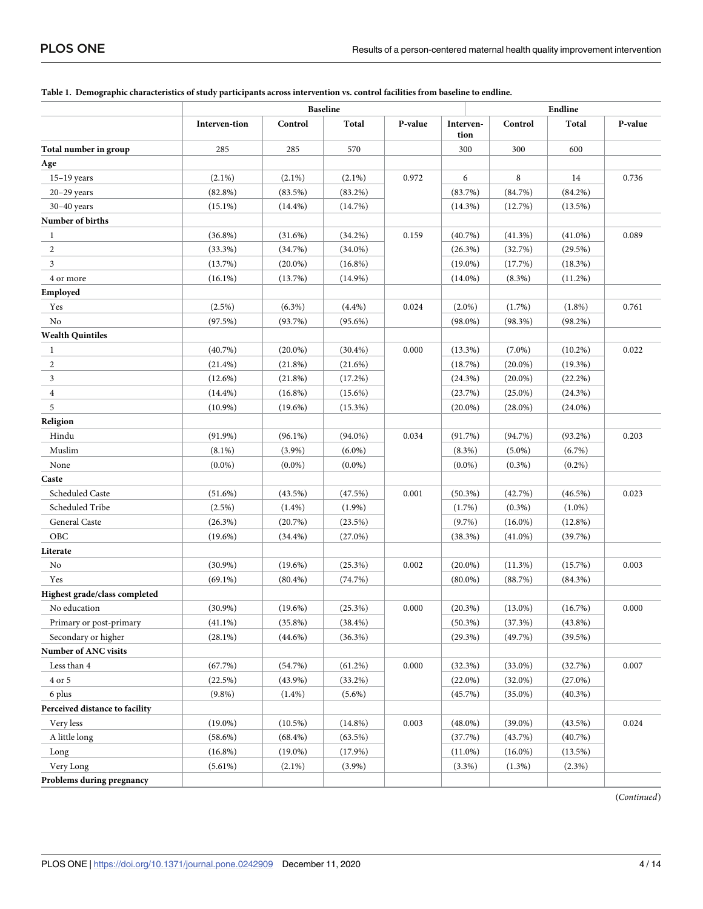|                                | <b>Baseline</b> |            |            |         | Endline           |             |            |         |
|--------------------------------|-----------------|------------|------------|---------|-------------------|-------------|------------|---------|
|                                | Interven-tion   | Control    | Total      | P-value | Interven-<br>tion | Control     | Total      | P-value |
| Total number in group          | 285             | 285        | 570        |         | 300               | 300         | 600        |         |
| Age                            |                 |            |            |         |                   |             |            |         |
| $15-19$ years                  | $(2.1\%)$       | $(2.1\%)$  | $(2.1\%)$  | 0.972   | 6                 | $\,$ 8 $\,$ | 14         | 0.736   |
| $20-29$ years                  | $(82.8\%)$      | (83.5%)    | $(83.2\%)$ |         | (83.7%)           | (84.7%)     | $(84.2\%)$ |         |
| $30-40$ years                  | $(15.1\%)$      | $(14.4\%)$ | (14.7%)    |         | (14.3%)           | (12.7%)     | $(13.5\%)$ |         |
| Number of births               |                 |            |            |         |                   |             |            |         |
| 1                              | $(36.8\%)$      | (31.6%)    | $(34.2\%)$ | 0.159   | (40.7%)           | (41.3%)     | $(41.0\%)$ | 0.089   |
| 2                              | (33.3%)         | (34.7%)    | $(34.0\%)$ |         | (26.3%)           | (32.7%)     | (29.5%)    |         |
| 3                              | (13.7%)         | $(20.0\%)$ | $(16.8\%)$ |         | $(19.0\%)$        | (17.7%)     | (18.3%)    |         |
| 4 or more                      | $(16.1\%)$      | (13.7%)    | $(14.9\%)$ |         | $(14.0\%)$        | $(8.3\%)$   | (11.2%)    |         |
| Employed                       |                 |            |            |         |                   |             |            |         |
| Yes                            | $(2.5\%)$       | $(6.3\%)$  | (4.4%)     | 0.024   | $(2.0\%)$         | $(1.7\%)$   | $(1.8\%)$  | 0.761   |
| No                             | (97.5%)         | (93.7%)    | $(95.6\%)$ |         | $(98.0\%)$        | (98.3%)     | $(98.2\%)$ |         |
| <b>Wealth Quintiles</b>        |                 |            |            |         |                   |             |            |         |
| 1                              | $(40.7\%)$      | $(20.0\%)$ | $(30.4\%)$ | 0.000   | $(13.3\%)$        | $(7.0\%)$   | $(10.2\%)$ | 0.022   |
| $\boldsymbol{2}$               | $(21.4\%)$      | $(21.8\%)$ | (21.6%)    |         | (18.7%)           | $(20.0\%)$  | $(19.3\%)$ |         |
| 3                              | $(12.6\%)$      | (21.8%)    | (17.2%)    |         | (24.3%)           | $(20.0\%)$  | $(22.2\%)$ |         |
| $\overline{4}$                 | $(14.4\%)$      | $(16.8\%)$ | $(15.6\%)$ |         | (23.7%)           | $(25.0\%)$  | (24.3%)    |         |
| 5                              | $(10.9\%)$      | $(19.6\%)$ | (15.3%)    |         | $(20.0\%)$        | $(28.0\%)$  | $(24.0\%)$ |         |
| Religion                       |                 |            |            |         |                   |             |            |         |
| Hindu                          | $(91.9\%)$      | $(96.1\%)$ | $(94.0\%)$ | 0.034   | (91.7%)           | (94.7%)     | $(93.2\%)$ | 0.203   |
| Muslim                         | $(8.1\%)$       | $(3.9\%)$  | $(6.0\%)$  |         | $(8.3\%)$         | $(5.0\%)$   | $(6.7\%)$  |         |
| None                           | $(0.0\%)$       | $(0.0\%)$  | $(0.0\%)$  |         | $(0.0\%)$         | $(0.3\%)$   | $(0.2\%)$  |         |
| Caste                          |                 |            |            |         |                   |             |            |         |
| Scheduled Caste                | $(51.6\%)$      | (43.5%)    | (47.5%)    | 0.001   | $(50.3\%)$        | (42.7%)     | $(46.5\%)$ | 0.023   |
| Scheduled Tribe                | $(2.5\%)$       | $(1.4\%)$  | $(1.9\%)$  |         | (1.7%)            | $(0.3\%)$   | $(1.0\%)$  |         |
| General Caste                  | $(26.3\%)$      | (20.7%)    | (23.5%)    |         | $(9.7\%)$         | $(16.0\%)$  | $(12.8\%)$ |         |
| OBC                            | $(19.6\%)$      | $(34.4\%)$ | $(27.0\%)$ |         | (38.3%)           | $(41.0\%)$  | (39.7%)    |         |
| Literate                       |                 |            |            |         |                   |             |            |         |
| No                             | $(30.9\%)$      | $(19.6\%)$ | (25.3%)    | 0.002   | $(20.0\%)$        | (11.3%)     | (15.7%)    | 0.003   |
|                                |                 |            |            |         |                   |             |            |         |
| Yes                            | $(69.1\%)$      | $(80.4\%)$ | (74.7%)    |         | $(80.0\%)$        | (88.7%)     | $(84.3\%)$ |         |
| Highest grade/class completed  |                 | $(19.6\%)$ |            | 0.000   |                   |             |            | 0.000   |
| No education                   | $(30.9\%)$      |            | (25.3%)    |         | (20.3%)           | $(13.0\%)$  | (16.7%)    |         |
| Primary or post-primary        | $(41.1\%)$      | $(35.8\%)$ | $(38.4\%)$ |         | $(50.3\%)$        | (37.3%)     | $(43.8\%)$ |         |
| Secondary or higher            | $(28.1\%)$      | $(44.6\%)$ | $(36.3\%)$ |         | (29.3%)           | (49.7%)     | $(39.5\%)$ |         |
| <b>Number of ANC visits</b>    |                 |            |            |         |                   |             |            |         |
| Less than 4                    | (67.7%)         | (54.7%)    | $(61.2\%)$ | 0.000   | (32.3%)           | $(33.0\%)$  | (32.7%)    | 0.007   |
| 4 or 5                         | (22.5%)         | $(43.9\%)$ | $(33.2\%)$ |         | $(22.0\%)$        | $(32.0\%)$  | $(27.0\%)$ |         |
| 6 plus                         | $(9.8\%)$       | $(1.4\%)$  | $(5.6\%)$  |         | (45.7%)           | $(35.0\%)$  | $(40.3\%)$ |         |
| Perceived distance to facility |                 |            |            |         |                   |             |            |         |
| Very less                      | $(19.0\%)$      | $(10.5\%)$ | $(14.8\%)$ | 0.003   | $(48.0\%)$        | $(39.0\%)$  | (43.5%)    | 0.024   |
| A little long                  | $(58.6\%)$      | $(68.4\%)$ | $(63.5\%)$ |         | (37.7%)           | (43.7%)     | (40.7%)    |         |
| Long                           | $(16.8\%)$      | $(19.0\%)$ | $(17.9\%)$ |         | $(11.0\%)$        | $(16.0\%)$  | $(13.5\%)$ |         |
| Very Long                      | $(5.61\%)$      | $(2.1\%)$  | $(3.9\%)$  |         | $(3.3\%)$         | (1.3%)      | (2.3%)     |         |
| Problems during pregnancy      |                 |            |            |         |                   |             |            |         |

#### <span id="page-3-0"></span>[Table](#page-2-0) 1. Demographic characteristics of study participants across intervention vs. control facilities from baseline to endline.

(*Continued*)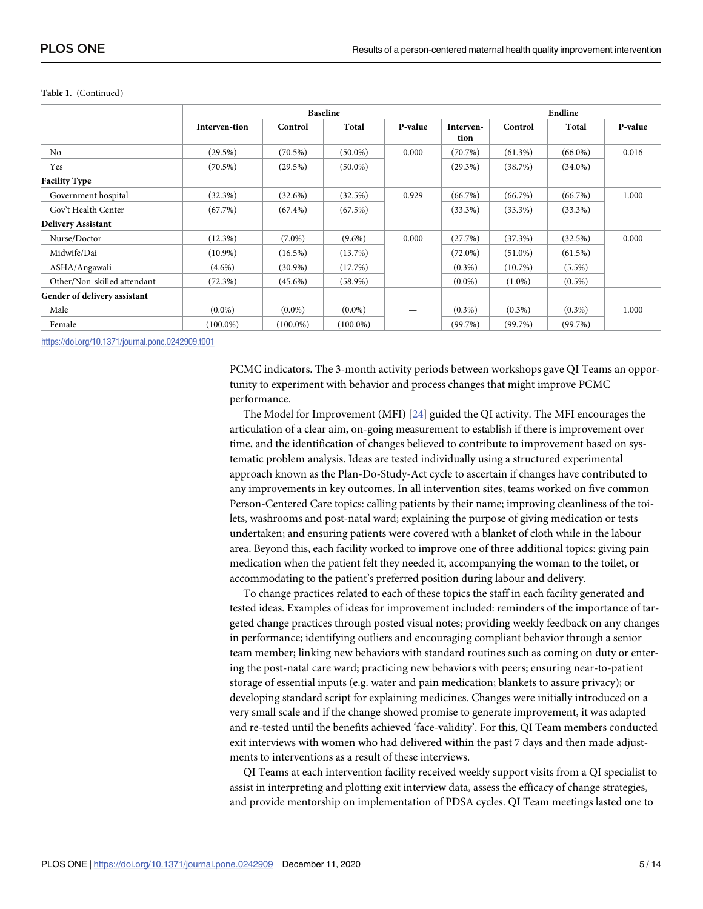|                              | <b>Baseline</b> |             |             |         |                   | Endline    |            |         |  |
|------------------------------|-----------------|-------------|-------------|---------|-------------------|------------|------------|---------|--|
|                              | Interven-tion   | Control     | Total       | P-value | Interven-<br>tion | Control    | Total      | P-value |  |
| No                           | (29.5%)         | $(70.5\%)$  | $(50.0\%)$  | 0.000   | $(70.7\%)$        | $(61.3\%)$ | $(66.0\%)$ | 0.016   |  |
| Yes                          | $(70.5\%)$      | (29.5%)     | $(50.0\%)$  |         | $(29.3\%)$        | (38.7%)    | $(34.0\%)$ |         |  |
| <b>Facility Type</b>         |                 |             |             |         |                   |            |            |         |  |
| Government hospital          | $(32.3\%)$      | (32.6%)     | (32.5%)     | 0.929   | $(66.7\%)$        | (66.7%)    | (66.7%)    | 1.000   |  |
| Gov't Health Center          | (67.7%)         | $(67.4\%)$  | (67.5%)     |         | $(33.3\%)$        | $(33.3\%)$ | $(33.3\%)$ |         |  |
| <b>Delivery Assistant</b>    |                 |             |             |         |                   |            |            |         |  |
| Nurse/Doctor                 | $(12.3\%)$      | $(7.0\%)$   | $(9.6\%)$   | 0.000   | (27.7%)           | (37.3%)    | (32.5%)    | 0.000   |  |
| Midwife/Dai                  | $(10.9\%)$      | $(16.5\%)$  | (13.7%)     |         | $(72.0\%)$        | $(51.0\%)$ | (61.5%)    |         |  |
| ASHA/Angawali                | $(4.6\%)$       | $(30.9\%)$  | (17.7%)     |         | $(0.3\%)$         | (10.7%)    | $(5.5\%)$  |         |  |
| Other/Non-skilled attendant  | (72.3%)         | $(45.6\%)$  | $(58.9\%)$  |         | $(0.0\%)$         | $(1.0\%)$  | $(0.5\%)$  |         |  |
| Gender of delivery assistant |                 |             |             |         |                   |            |            |         |  |
| Male                         | $(0.0\%)$       | $(0.0\%)$   | $(0.0\%)$   |         | $(0.3\%)$         | $(0.3\%)$  | $(0.3\%)$  | 1.000   |  |
| Female                       | $(100.0\%)$     | $(100.0\%)$ | $(100.0\%)$ |         | $(99.7\%)$        | (99.7%)    | (99.7%)    |         |  |

#### <span id="page-4-0"></span>**Table 1.** (Continued)

<https://doi.org/10.1371/journal.pone.0242909.t001>

PCMC indicators. The 3-month activity periods between workshops gave QI Teams an opportunity to experiment with behavior and process changes that might improve PCMC performance.

The Model for Improvement (MFI) [\[24\]](#page-13-0) guided the QI activity. The MFI encourages the articulation of a clear aim, on-going measurement to establish if there is improvement over time, and the identification of changes believed to contribute to improvement based on systematic problem analysis. Ideas are tested individually using a structured experimental approach known as the Plan-Do-Study-Act cycle to ascertain if changes have contributed to any improvements in key outcomes. In all intervention sites, teams worked on five common Person-Centered Care topics: calling patients by their name; improving cleanliness of the toilets, washrooms and post-natal ward; explaining the purpose of giving medication or tests undertaken; and ensuring patients were covered with a blanket of cloth while in the labour area. Beyond this, each facility worked to improve one of three additional topics: giving pain medication when the patient felt they needed it, accompanying the woman to the toilet, or accommodating to the patient's preferred position during labour and delivery.

To change practices related to each of these topics the staff in each facility generated and tested ideas. Examples of ideas for improvement included: reminders of the importance of targeted change practices through posted visual notes; providing weekly feedback on any changes in performance; identifying outliers and encouraging compliant behavior through a senior team member; linking new behaviors with standard routines such as coming on duty or entering the post-natal care ward; practicing new behaviors with peers; ensuring near-to-patient storage of essential inputs (e.g. water and pain medication; blankets to assure privacy); or developing standard script for explaining medicines. Changes were initially introduced on a very small scale and if the change showed promise to generate improvement, it was adapted and re-tested until the benefits achieved 'face-validity'. For this, QI Team members conducted exit interviews with women who had delivered within the past 7 days and then made adjustments to interventions as a result of these interviews.

QI Teams at each intervention facility received weekly support visits from a QI specialist to assist in interpreting and plotting exit interview data, assess the efficacy of change strategies, and provide mentorship on implementation of PDSA cycles. QI Team meetings lasted one to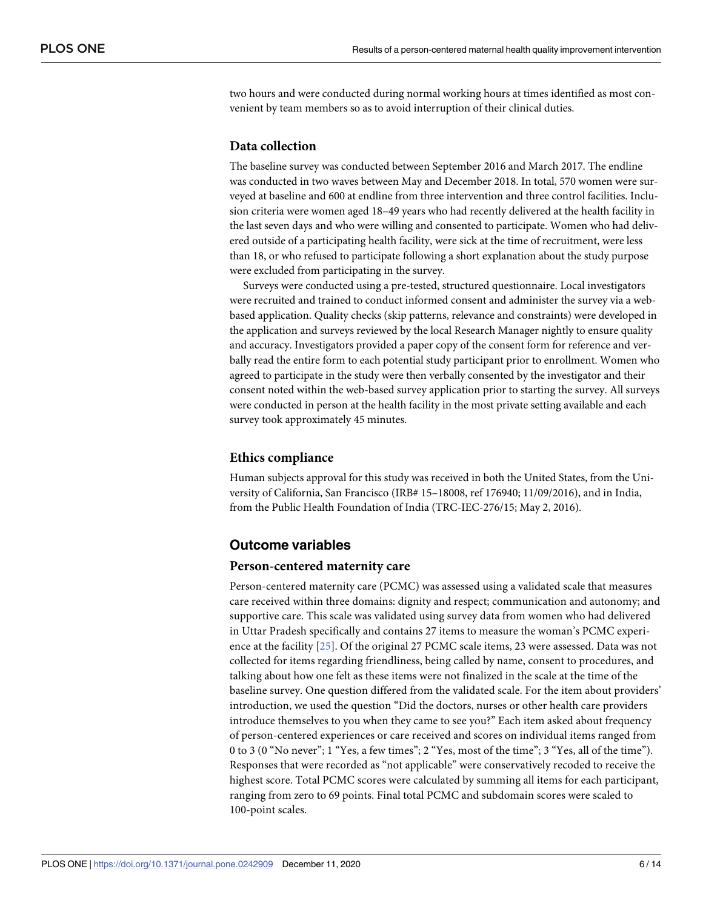<span id="page-5-0"></span>two hours and were conducted during normal working hours at times identified as most convenient by team members so as to avoid interruption of their clinical duties.

#### **Data collection**

The baseline survey was conducted between September 2016 and March 2017. The endline was conducted in two waves between May and December 2018. In total, 570 women were surveyed at baseline and 600 at endline from three intervention and three control facilities. Inclusion criteria were women aged 18–49 years who had recently delivered at the health facility in the last seven days and who were willing and consented to participate. Women who had delivered outside of a participating health facility, were sick at the time of recruitment, were less than 18, or who refused to participate following a short explanation about the study purpose were excluded from participating in the survey.

Surveys were conducted using a pre-tested, structured questionnaire. Local investigators were recruited and trained to conduct informed consent and administer the survey via a webbased application. Quality checks (skip patterns, relevance and constraints) were developed in the application and surveys reviewed by the local Research Manager nightly to ensure quality and accuracy. Investigators provided a paper copy of the consent form for reference and verbally read the entire form to each potential study participant prior to enrollment. Women who agreed to participate in the study were then verbally consented by the investigator and their consent noted within the web-based survey application prior to starting the survey. All surveys were conducted in person at the health facility in the most private setting available and each survey took approximately 45 minutes.

#### **Ethics compliance**

Human subjects approval for this study was received in both the United States, from the University of California, San Francisco (IRB# 15–18008, ref 176940; 11/09/2016), and in India, from the Public Health Foundation of India (TRC-IEC-276/15; May 2, 2016).

#### **Outcome variables**

#### **Person-centered maternity care**

Person-centered maternity care (PCMC) was assessed using a validated scale that measures care received within three domains: dignity and respect; communication and autonomy; and supportive care. This scale was validated using survey data from women who had delivered in Uttar Pradesh specifically and contains 27 items to measure the woman's PCMC experience at the facility [[25](#page-13-0)]. Of the original 27 PCMC scale items, 23 were assessed. Data was not collected for items regarding friendliness, being called by name, consent to procedures, and talking about how one felt as these items were not finalized in the scale at the time of the baseline survey. One question differed from the validated scale. For the item about providers' introduction, we used the question "Did the doctors, nurses or other health care providers introduce themselves to you when they came to see you?" Each item asked about frequency of person-centered experiences or care received and scores on individual items ranged from 0 to 3 (0 "No never"; 1 "Yes, a few times"; 2 "Yes, most of the time"; 3 "Yes, all of the time"). Responses that were recorded as "not applicable" were conservatively recoded to receive the highest score. Total PCMC scores were calculated by summing all items for each participant, ranging from zero to 69 points. Final total PCMC and subdomain scores were scaled to 100-point scales.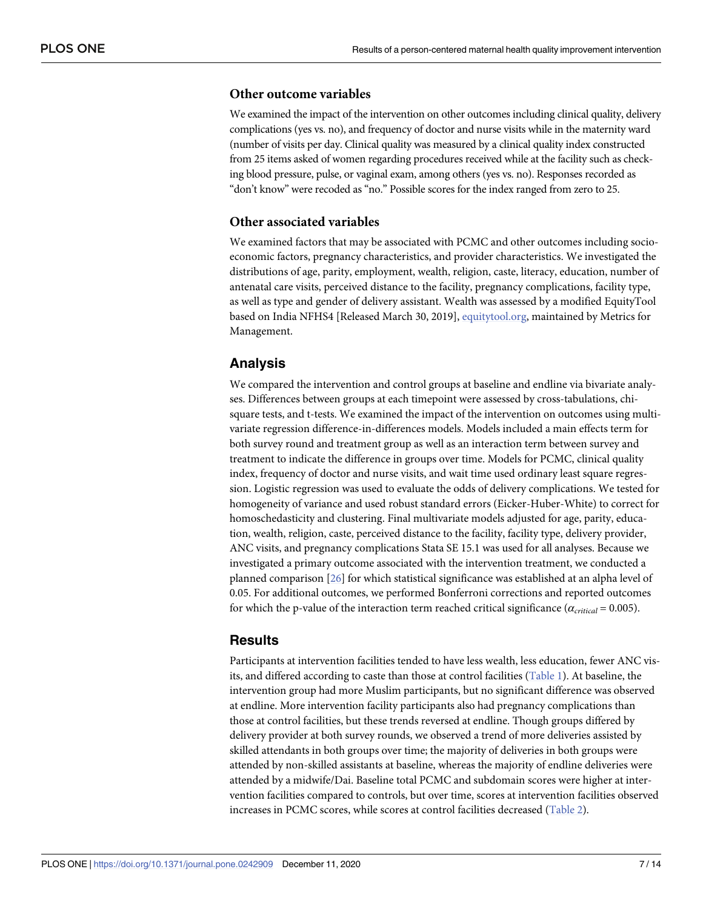#### <span id="page-6-0"></span>**Other outcome variables**

We examined the impact of the intervention on other outcomes including clinical quality, delivery complications (yes vs. no), and frequency of doctor and nurse visits while in the maternity ward (number of visits per day. Clinical quality was measured by a clinical quality index constructed from 25 items asked of women regarding procedures received while at the facility such as checking blood pressure, pulse, or vaginal exam, among others (yes vs. no). Responses recorded as "don't know" were recoded as "no." Possible scores for the index ranged from zero to 25.

#### **Other associated variables**

We examined factors that may be associated with PCMC and other outcomes including socioeconomic factors, pregnancy characteristics, and provider characteristics. We investigated the distributions of age, parity, employment, wealth, religion, caste, literacy, education, number of antenatal care visits, perceived distance to the facility, pregnancy complications, facility type, as well as type and gender of delivery assistant. Wealth was assessed by a modified EquityTool based on India NFHS4 [Released March 30, 2019], [equitytool.org,](http://equitytool.org) maintained by Metrics for Management.

#### **Analysis**

We compared the intervention and control groups at baseline and endline via bivariate analyses. Differences between groups at each timepoint were assessed by cross-tabulations, chisquare tests, and t-tests. We examined the impact of the intervention on outcomes using multivariate regression difference-in-differences models. Models included a main effects term for both survey round and treatment group as well as an interaction term between survey and treatment to indicate the difference in groups over time. Models for PCMC, clinical quality index, frequency of doctor and nurse visits, and wait time used ordinary least square regression. Logistic regression was used to evaluate the odds of delivery complications. We tested for homogeneity of variance and used robust standard errors (Eicker-Huber-White) to correct for homoschedasticity and clustering. Final multivariate models adjusted for age, parity, education, wealth, religion, caste, perceived distance to the facility, facility type, delivery provider, ANC visits, and pregnancy complications Stata SE 15.1 was used for all analyses. Because we investigated a primary outcome associated with the intervention treatment, we conducted a planned comparison [[26](#page-13-0)] for which statistical significance was established at an alpha level of 0.05. For additional outcomes, we performed Bonferroni corrections and reported outcomes for which the p-value of the interaction term reached critical significance (*αcritical* = 0.005).

#### **Results**

Participants at intervention facilities tended to have less wealth, less education, fewer ANC visits, and differed according to caste than those at control facilities ([Table](#page-3-0) 1). At baseline, the intervention group had more Muslim participants, but no significant difference was observed at endline. More intervention facility participants also had pregnancy complications than those at control facilities, but these trends reversed at endline. Though groups differed by delivery provider at both survey rounds, we observed a trend of more deliveries assisted by skilled attendants in both groups over time; the majority of deliveries in both groups were attended by non-skilled assistants at baseline, whereas the majority of endline deliveries were attended by a midwife/Dai. Baseline total PCMC and subdomain scores were higher at intervention facilities compared to controls, but over time, scores at intervention facilities observed increases in PCMC scores, while scores at control facilities decreased [\(Table](#page-7-0) 2).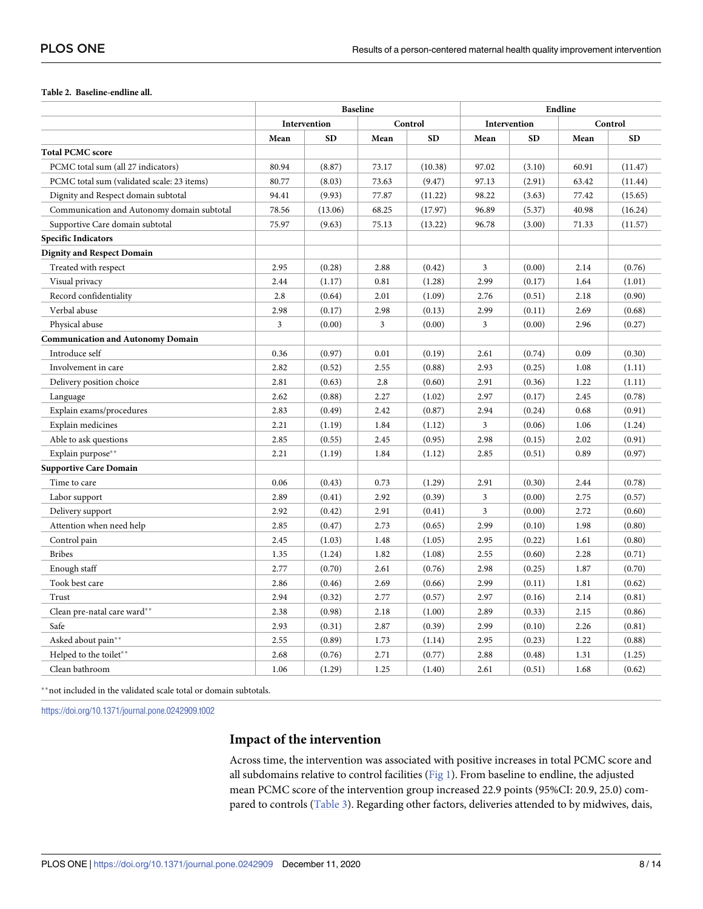#### <span id="page-7-0"></span>**[Table](#page-6-0) 2. Baseline-endline all.**

| Intervention<br>Control<br>Intervention<br>Control<br><b>SD</b><br><b>SD</b><br><b>SD</b><br><b>SD</b><br>Mean<br>Mean<br>Mean<br>Mean |  |
|----------------------------------------------------------------------------------------------------------------------------------------|--|
|                                                                                                                                        |  |
|                                                                                                                                        |  |
| <b>Total PCMC score</b>                                                                                                                |  |
| PCMC total sum (all 27 indicators)<br>80.94<br>(10.38)<br>97.02<br>60.91<br>(8.87)<br>73.17<br>(3.10)<br>(11.47)                       |  |
| 80.77<br>PCMC total sum (validated scale: 23 items)<br>(8.03)<br>73.63<br>(9.47)<br>97.13<br>(2.91)<br>63.42<br>(11.44)                |  |
| Dignity and Respect domain subtotal<br>94.41<br>(9.93)<br>77.87<br>98.22<br>77.42<br>(15.65)<br>(11.22)<br>(3.63)                      |  |
| Communication and Autonomy domain subtotal<br>78.56<br>(13.06)<br>68.25<br>(17.97)<br>96.89<br>(5.37)<br>40.98<br>(16.24)              |  |
| Supportive Care domain subtotal<br>75.97<br>(9.63)<br>75.13<br>(13.22)<br>96.78<br>(3.00)<br>71.33<br>(11.57)                          |  |
| <b>Specific Indicators</b>                                                                                                             |  |
| <b>Dignity and Respect Domain</b>                                                                                                      |  |
| 2.95<br>Treated with respect<br>(0.28)<br>2.88<br>(0.42)<br>3<br>(0.00)<br>2.14<br>(0.76)                                              |  |
| Visual privacy<br>0.81<br>(1.28)<br>2.99<br>(0.17)<br>1.64<br>(1.01)<br>2.44<br>(1.17)                                                 |  |
| Record confidentiality<br>2.8<br>(1.09)<br>(0.90)<br>(0.64)<br>2.01<br>2.76<br>(0.51)<br>2.18                                          |  |
| Verbal abuse<br>2.98<br>2.98<br>2.99<br>(0.17)<br>(0.13)<br>(0.11)<br>2.69<br>(0.68)                                                   |  |
| Physical abuse<br>3<br>(0.00)<br>3<br>(0.00)<br>3<br>(0.00)<br>2.96<br>(0.27)                                                          |  |
| <b>Communication and Autonomy Domain</b>                                                                                               |  |
| Introduce self<br>0.09<br>0.36<br>(0.97)<br>0.01<br>(0.19)<br>2.61<br>(0.74)<br>(0.30)                                                 |  |
| 2.93<br>Involvement in care<br>2.82<br>(0.52)<br>2.55<br>(0.88)<br>(0.25)<br>1.08<br>(1.11)                                            |  |
| 2.81<br>2.8<br>(0.60)<br>2.91<br>1.22<br>(1.11)<br>Delivery position choice<br>(0.63)<br>(0.36)                                        |  |
| 2.62<br>(0.88)<br>2.27<br>(1.02)<br>2.97<br>(0.17)<br>2.45<br>(0.78)<br>Language                                                       |  |
| 2.94<br>(0.91)<br>Explain exams/procedures<br>2.83<br>(0.49)<br>2.42<br>(0.87)<br>(0.24)<br>0.68                                       |  |
| Explain medicines<br>2.21<br>1.84<br>3<br>1.06<br>(1.19)<br>(1.12)<br>(0.06)<br>(1.24)                                                 |  |
| 2.85<br>2.98<br>Able to ask questions<br>(0.55)<br>2.45<br>(0.95)<br>(0.15)<br>2.02<br>(0.91)                                          |  |
| Explain purpose**<br>2.21<br>1.84<br>2.85<br>0.89<br>(0.97)<br>(1.19)<br>(1.12)<br>(0.51)                                              |  |
| <b>Supportive Care Domain</b>                                                                                                          |  |
| 0.06<br>2.91<br>Time to care<br>(0.43)<br>0.73<br>(1.29)<br>(0.30)<br>2.44<br>(0.78)                                                   |  |
| Labor support<br>2.89<br>(0.41)<br>2.92<br>(0.39)<br>3<br>(0.00)<br>2.75<br>(0.57)                                                     |  |
| 2.91<br>$\overline{\mathbf{3}}$<br>2.92<br>(0.42)<br>(0.41)<br>(0.00)<br>2.72<br>(0.60)<br>Delivery support                            |  |
| 2.99<br>2.85<br>2.73<br>1.98<br>Attention when need help<br>(0.47)<br>(0.65)<br>(0.10)<br>(0.80)                                       |  |
| 2.45<br>Control pain<br>(1.03)<br>1.48<br>(1.05)<br>2.95<br>(0.22)<br>1.61<br>(0.80)                                                   |  |
| <b>Bribes</b><br>1.35<br>1.82<br>(1.08)<br>2.55<br>(0.60)<br>2.28<br>(0.71)<br>(1.24)                                                  |  |
| Enough staff<br>2.77<br>2.61<br>(0.76)<br>2.98<br>1.87<br>(0.70)<br>(0.70)<br>(0.25)                                                   |  |
| 2.99<br>1.81<br>Took best care<br>2.86<br>(0.46)<br>2.69<br>(0.66)<br>(0.11)<br>(0.62)                                                 |  |
| Trust<br>2.94<br>2.77<br>2.97<br>(0.81)<br>(0.32)<br>(0.57)<br>(0.16)<br>2.14                                                          |  |
| Clean pre-natal care ward**<br>2.38<br>(0.98)<br>(1.00)<br>2.18<br>2.89<br>(0.33)<br>2.15<br>(0.86)                                    |  |
| Safe<br>2.93<br>2.99<br>(0.31)<br>2.87<br>(0.39)<br>(0.10)<br>2.26<br>(0.81)                                                           |  |
| Asked about pain**<br>2.55<br>(0.89)<br>2.95<br>1.22<br>(0.88)<br>1.73<br>(1.14)<br>(0.23)                                             |  |
| Helped to the toilet**<br>2.68<br>2.71<br>(0.77)<br>2.88<br>1.31<br>(1.25)<br>(0.76)<br>(0.48)                                         |  |
| Clean bathroom<br>1.06<br>(1.29)<br>1.25<br>(1.40)<br>2.61<br>(0.51)<br>1.68<br>(0.62)                                                 |  |

\*\* not included in the validated scale total or domain subtotals.

<https://doi.org/10.1371/journal.pone.0242909.t002>

#### **Impact of the intervention**

Across time, the intervention was associated with positive increases in total PCMC score and all subdomains relative to control facilities ( $Fig 1$ ). From baseline to endline, the adjusted mean PCMC score of the intervention group increased 22.9 points (95%CI: 20.9, 25.0) com-pared to controls [\(Table](#page-9-0) 3). Regarding other factors, deliveries attended to by midwives, dais,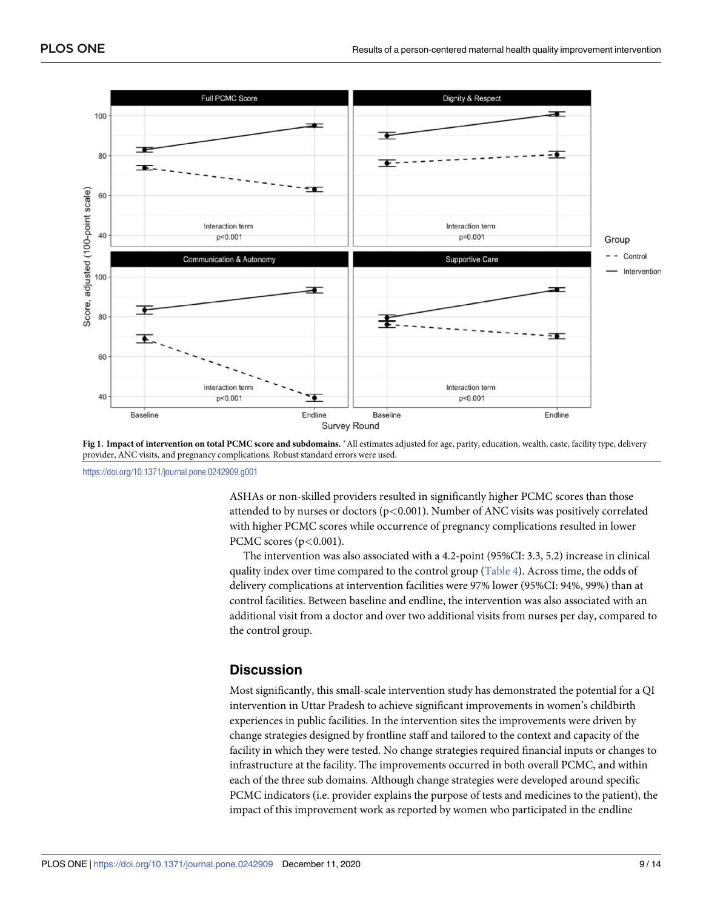<span id="page-8-0"></span>

[Fig](#page-7-0) 1. Impact of intervention on total PCMC score and subdomains. \* All estimates adjusted for age, parity, education, wealth, caste, facility type, delivery provider, ANC visits, and pregnancy complications. Robust standard errors were used.

<https://doi.org/10.1371/journal.pone.0242909.g001>

ASHAs or non-skilled providers resulted in significantly higher PCMC scores than those attended to by nurses or doctors (p*<*0.001). Number of ANC visits was positively correlated with higher PCMC scores while occurrence of pregnancy complications resulted in lower PCMC scores (p*<*0.001).

The intervention was also associated with a 4.2-point (95%CI: 3.3, 5.2) increase in clinical quality index over time compared to the control group [\(Table](#page-10-0) 4). Across time, the odds of delivery complications at intervention facilities were 97% lower (95%CI: 94%, 99%) than at control facilities. Between baseline and endline, the intervention was also associated with an additional visit from a doctor and over two additional visits from nurses per day, compared to the control group.

#### **Discussion**

Most significantly, this small-scale intervention study has demonstrated the potential for a QI intervention in Uttar Pradesh to achieve significant improvements in women's childbirth experiences in public facilities. In the intervention sites the improvements were driven by change strategies designed by frontline staff and tailored to the context and capacity of the facility in which they were tested. No change strategies required financial inputs or changes to infrastructure at the facility. The improvements occurred in both overall PCMC, and within each of the three sub domains. Although change strategies were developed around specific PCMC indicators (i.e. provider explains the purpose of tests and medicines to the patient), the impact of this improvement work as reported by women who participated in the endline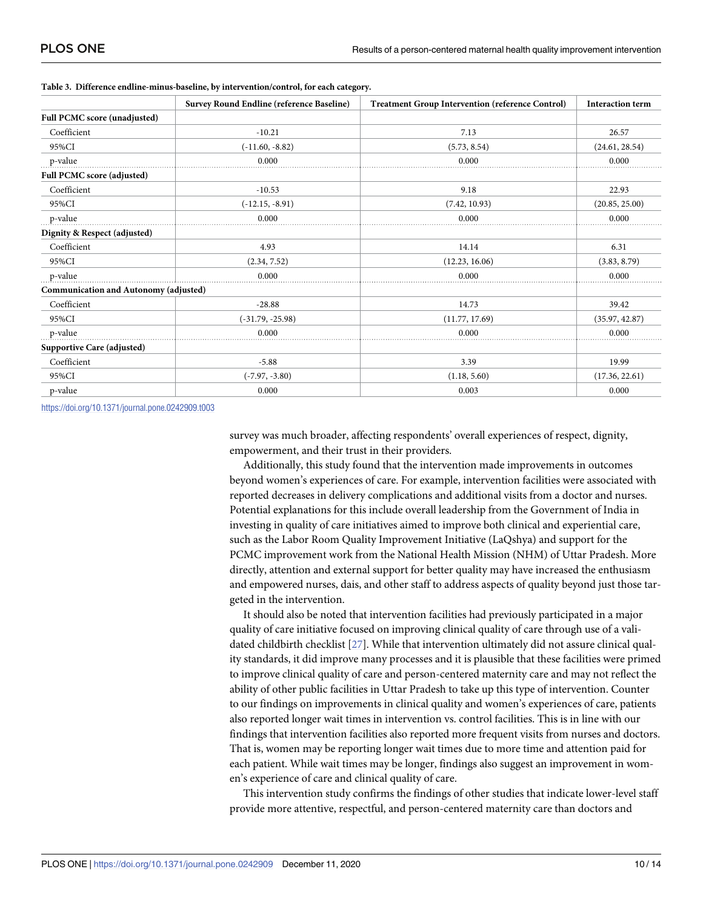| <b>Survey Round Endline (reference Baseline)</b> |                    | <b>Treatment Group Intervention (reference Control)</b> | <b>Interaction term</b> |  |
|--------------------------------------------------|--------------------|---------------------------------------------------------|-------------------------|--|
| Full PCMC score (unadjusted)                     |                    |                                                         |                         |  |
| Coefficient                                      | $-10.21$           | 7.13                                                    | 26.57                   |  |
| 95%CI                                            | $(-11.60, -8.82)$  | (5.73, 8.54)                                            | (24.61, 28.54)          |  |
| p-value                                          | 0.000              | 0.000                                                   | 0.000                   |  |
| Full PCMC score (adjusted)                       |                    |                                                         |                         |  |
| Coefficient                                      | $-10.53$           | 9.18                                                    | 22.93                   |  |
| 95%CI                                            | $(-12.15, -8.91)$  | (7.42, 10.93)                                           | (20.85, 25.00)          |  |
| p-value                                          | 0.000              | 0.000                                                   | 0.000                   |  |
| Dignity & Respect (adjusted)                     |                    |                                                         |                         |  |
| Coefficient                                      | 4.93               | 14.14                                                   | 6.31                    |  |
| 95%CI                                            | (2.34, 7.52)       | (12.23, 16.06)                                          | (3.83, 8.79)            |  |
| p-value                                          | 0.000              | 0.000                                                   | 0.000                   |  |
| Communication and Autonomy (adjusted)            |                    |                                                         |                         |  |
| Coefficient                                      | $-28.88$           | 14.73                                                   | 39.42                   |  |
| 95%CI                                            | $(-31.79, -25.98)$ | (11.77, 17.69)                                          | (35.97, 42.87)          |  |
| p-value                                          | 0.000              | 0.000                                                   | 0.000                   |  |
| Supportive Care (adjusted)                       |                    |                                                         |                         |  |
| Coefficient                                      | $-5.88$            | 3.39                                                    | 19.99                   |  |
| 95%CI                                            | $(-7.97, -3.80)$   | (1.18, 5.60)                                            | (17.36, 22.61)          |  |
| p-value                                          | 0.000              | 0.003                                                   | 0.000                   |  |

<span id="page-9-0"></span>

|  | Table 3. Difference endline-minus-baseline, by intervention/control, for each category. |
|--|-----------------------------------------------------------------------------------------|
|--|-----------------------------------------------------------------------------------------|

<https://doi.org/10.1371/journal.pone.0242909.t003>

survey was much broader, affecting respondents' overall experiences of respect, dignity, empowerment, and their trust in their providers.

Additionally, this study found that the intervention made improvements in outcomes beyond women's experiences of care. For example, intervention facilities were associated with reported decreases in delivery complications and additional visits from a doctor and nurses. Potential explanations for this include overall leadership from the Government of India in investing in quality of care initiatives aimed to improve both clinical and experiential care, such as the Labor Room Quality Improvement Initiative (LaQshya) and support for the PCMC improvement work from the National Health Mission (NHM) of Uttar Pradesh. More directly, attention and external support for better quality may have increased the enthusiasm and empowered nurses, dais, and other staff to address aspects of quality beyond just those targeted in the intervention.

It should also be noted that intervention facilities had previously participated in a major quality of care initiative focused on improving clinical quality of care through use of a validated childbirth checklist [\[27\]](#page-13-0). While that intervention ultimately did not assure clinical quality standards, it did improve many processes and it is plausible that these facilities were primed to improve clinical quality of care and person-centered maternity care and may not reflect the ability of other public facilities in Uttar Pradesh to take up this type of intervention. Counter to our findings on improvements in clinical quality and women's experiences of care, patients also reported longer wait times in intervention vs. control facilities. This is in line with our findings that intervention facilities also reported more frequent visits from nurses and doctors. That is, women may be reporting longer wait times due to more time and attention paid for each patient. While wait times may be longer, findings also suggest an improvement in women's experience of care and clinical quality of care.

This intervention study confirms the findings of other studies that indicate lower-level staff provide more attentive, respectful, and person-centered maternity care than doctors and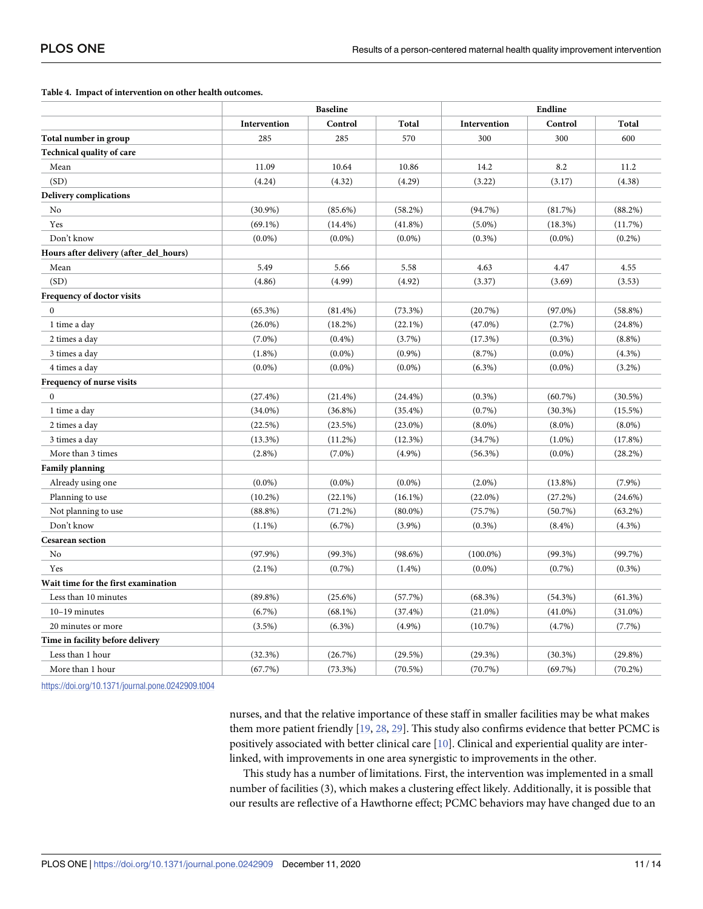<span id="page-10-0"></span>**[Table](#page-8-0) 4. Impact of intervention on other health outcomes.**

|                                            | <b>Baseline</b> |            |            | Endline      |            |            |  |
|--------------------------------------------|-----------------|------------|------------|--------------|------------|------------|--|
|                                            | Intervention    | Control    | Total      | Intervention | Control    | Total      |  |
| Total number in group                      | 285             | 285        | 570        | 300          | 300        | 600        |  |
| <b>Technical quality of care</b>           |                 |            |            |              |            |            |  |
| Mean                                       | 11.09           | 10.64      | 10.86      | 14.2         | 8.2        | 11.2       |  |
| (SD)                                       | (4.24)          | (4.32)     | (4.29)     | (3.22)       | (3.17)     | (4.38)     |  |
| <b>Delivery complications</b>              |                 |            |            |              |            |            |  |
| No                                         | $(30.9\%)$      | $(85.6\%)$ | $(58.2\%)$ | (94.7%)      | (81.7%)    | (88.2%)    |  |
| Yes                                        | $(69.1\%)$      | $(14.4\%)$ | $(41.8\%)$ | $(5.0\%)$    | (18.3%)    | (11.7%)    |  |
| Don't know                                 | $(0.0\%)$       | $(0.0\%)$  | $(0.0\%)$  | $(0.3\%)$    | $(0.0\%)$  | $(0.2\%)$  |  |
| Hours after delivery (after_del_hours)     |                 |            |            |              |            |            |  |
| Mean                                       | 5.49            | 5.66       | 5.58       | 4.63         | 4.47       | 4.55       |  |
| (SD)                                       | (4.86)          | (4.99)     | (4.92)     | (3.37)       | (3.69)     | (3.53)     |  |
| Frequency of doctor visits                 |                 |            |            |              |            |            |  |
| $\mathbf{0}$                               | $(65.3\%)$      | $(81.4\%)$ | $(73.3\%)$ | (20.7%)      | $(97.0\%)$ | $(58.8\%)$ |  |
| 1 time a day                               | $(26.0\%)$      | $(18.2\%)$ | $(22.1\%)$ | $(47.0\%)$   | (2.7%)     | $(24.8\%)$ |  |
| 2 times a day                              | $(7.0\%)$       | $(0.4\%)$  | $(3.7\%)$  | (17.3%)      | $(0.3\%)$  | $(8.8\%)$  |  |
| 3 times a day                              | $(1.8\%)$       | $(0.0\%)$  | $(0.9\%)$  | (8.7%)       | $(0.0\%)$  | $(4.3\%)$  |  |
| 4 times a day                              | $(0.0\%)$       | $(0.0\%)$  | $(0.0\%)$  | $(6.3\%)$    | $(0.0\%)$  | $(3.2\%)$  |  |
| Frequency of nurse visits                  |                 |            |            |              |            |            |  |
| $\boldsymbol{0}$                           | $(27.4\%)$      | $(21.4\%)$ | $(24.4\%)$ | $(0.3\%)$    | $(60.7\%)$ | $(30.5\%)$ |  |
| 1 time a day                               | $(34.0\%)$      | $(36.8\%)$ | $(35.4\%)$ | $(0.7\%)$    | $(30.3\%)$ | $(15.5\%)$ |  |
| 2 times a day                              | (22.5%)         | (23.5%)    | $(23.0\%)$ | $(8.0\%)$    | $(8.0\%)$  | $(8.0\%)$  |  |
| 3 times a day                              | $(13.3\%)$      | $(11.2\%)$ | $(12.3\%)$ | (34.7%)      | $(1.0\%)$  | $(17.8\%)$ |  |
| More than 3 times                          | $(2.8\%)$       | $(7.0\%)$  | $(4.9\%)$  | $(56.3\%)$   | $(0.0\%)$  | $(28.2\%)$ |  |
| Family planning                            |                 |            |            |              |            |            |  |
| Already using one                          | $(0.0\%)$       | $(0.0\%)$  | $(0.0\%)$  | $(2.0\%)$    | $(13.8\%)$ | $(7.9\%)$  |  |
| Planning to use                            | $(10.2\%)$      | $(22.1\%)$ | $(16.1\%)$ | $(22.0\%)$   | (27.2%)    | $(24.6\%)$ |  |
| Not planning to use                        | (88.8%)         | (71.2%)    | $(80.0\%)$ | (75.7%)      | (50.7%)    | $(63.2\%)$ |  |
| Don't know                                 | $(1.1\%)$       | $(6.7\%)$  | $(3.9\%)$  | $(0.3\%)$    | $(8.4\%)$  | $(4.3\%)$  |  |
| <b>Cesarean section</b>                    |                 |            |            |              |            |            |  |
| No                                         | $(97.9\%)$      | $(99.3\%)$ | $(98.6\%)$ | $(100.0\%)$  | $(99.3\%)$ | (99.7%)    |  |
| Yes                                        | $(2.1\%)$       | $(0.7\%)$  | $(1.4\%)$  | $(0.0\%)$    | $(0.7\%)$  | $(0.3\%)$  |  |
| <b>Wait time for the first examination</b> |                 |            |            |              |            |            |  |
| Less than 10 minutes                       | $(89.8\%)$      | $(25.6\%)$ | (57.7%)    | $(68.3\%)$   | $(54.3\%)$ | (61.3%)    |  |
| $10-19$ minutes                            | $(6.7\%)$       | $(68.1\%)$ | (37.4%)    | $(21.0\%)$   | $(41.0\%)$ | $(31.0\%)$ |  |
| 20 minutes or more                         | $(3.5\%)$       | $(6.3\%)$  | $(4.9\%)$  | $(10.7\%)$   | $(4.7\%)$  | (7.7%)     |  |
| Time in facility before delivery           |                 |            |            |              |            |            |  |
| Less than 1 hour                           | (32.3%)         | (26.7%)    | $(29.5\%)$ | $(29.3\%)$   | $(30.3\%)$ | $(29.8\%)$ |  |
| More than 1 hour                           | (67.7%)         | (73.3%)    | $(70.5\%)$ | $(70.7\%)$   | (69.7%)    | $(70.2\%)$ |  |

<https://doi.org/10.1371/journal.pone.0242909.t004>

nurses, and that the relative importance of these staff in smaller facilities may be what makes them more patient friendly [\[19,](#page-13-0) [28,](#page-13-0) [29\]](#page-13-0). This study also confirms evidence that better PCMC is positively associated with better clinical care [\[10\]](#page-12-0). Clinical and experiential quality are interlinked, with improvements in one area synergistic to improvements in the other.

This study has a number of limitations. First, the intervention was implemented in a small number of facilities (3), which makes a clustering effect likely. Additionally, it is possible that our results are reflective of a Hawthorne effect; PCMC behaviors may have changed due to an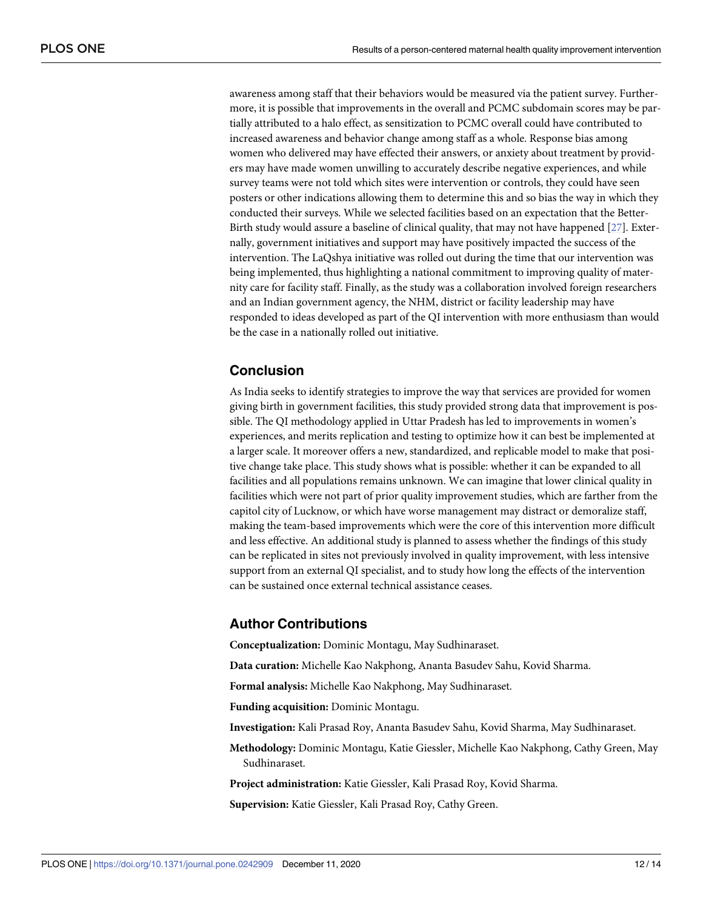awareness among staff that their behaviors would be measured via the patient survey. Furthermore, it is possible that improvements in the overall and PCMC subdomain scores may be partially attributed to a halo effect, as sensitization to PCMC overall could have contributed to increased awareness and behavior change among staff as a whole. Response bias among women who delivered may have effected their answers, or anxiety about treatment by providers may have made women unwilling to accurately describe negative experiences, and while survey teams were not told which sites were intervention or controls, they could have seen posters or other indications allowing them to determine this and so bias the way in which they conducted their surveys. While we selected facilities based on an expectation that the Better-Birth study would assure a baseline of clinical quality, that may not have happened [\[27\]](#page-13-0). Externally, government initiatives and support may have positively impacted the success of the intervention. The LaQshya initiative was rolled out during the time that our intervention was being implemented, thus highlighting a national commitment to improving quality of maternity care for facility staff. Finally, as the study was a collaboration involved foreign researchers and an Indian government agency, the NHM, district or facility leadership may have responded to ideas developed as part of the QI intervention with more enthusiasm than would be the case in a nationally rolled out initiative.

## **Conclusion**

As India seeks to identify strategies to improve the way that services are provided for women giving birth in government facilities, this study provided strong data that improvement is possible. The QI methodology applied in Uttar Pradesh has led to improvements in women's experiences, and merits replication and testing to optimize how it can best be implemented at a larger scale. It moreover offers a new, standardized, and replicable model to make that positive change take place. This study shows what is possible: whether it can be expanded to all facilities and all populations remains unknown. We can imagine that lower clinical quality in facilities which were not part of prior quality improvement studies, which are farther from the capitol city of Lucknow, or which have worse management may distract or demoralize staff, making the team-based improvements which were the core of this intervention more difficult and less effective. An additional study is planned to assess whether the findings of this study can be replicated in sites not previously involved in quality improvement, with less intensive support from an external QI specialist, and to study how long the effects of the intervention can be sustained once external technical assistance ceases.

#### **Author Contributions**

**Conceptualization:** Dominic Montagu, May Sudhinaraset.

**Data curation:** Michelle Kao Nakphong, Ananta Basudev Sahu, Kovid Sharma.

**Formal analysis:** Michelle Kao Nakphong, May Sudhinaraset.

**Funding acquisition:** Dominic Montagu.

**Investigation:** Kali Prasad Roy, Ananta Basudev Sahu, Kovid Sharma, May Sudhinaraset.

**Methodology:** Dominic Montagu, Katie Giessler, Michelle Kao Nakphong, Cathy Green, May Sudhinaraset.

**Project administration:** Katie Giessler, Kali Prasad Roy, Kovid Sharma.

**Supervision:** Katie Giessler, Kali Prasad Roy, Cathy Green.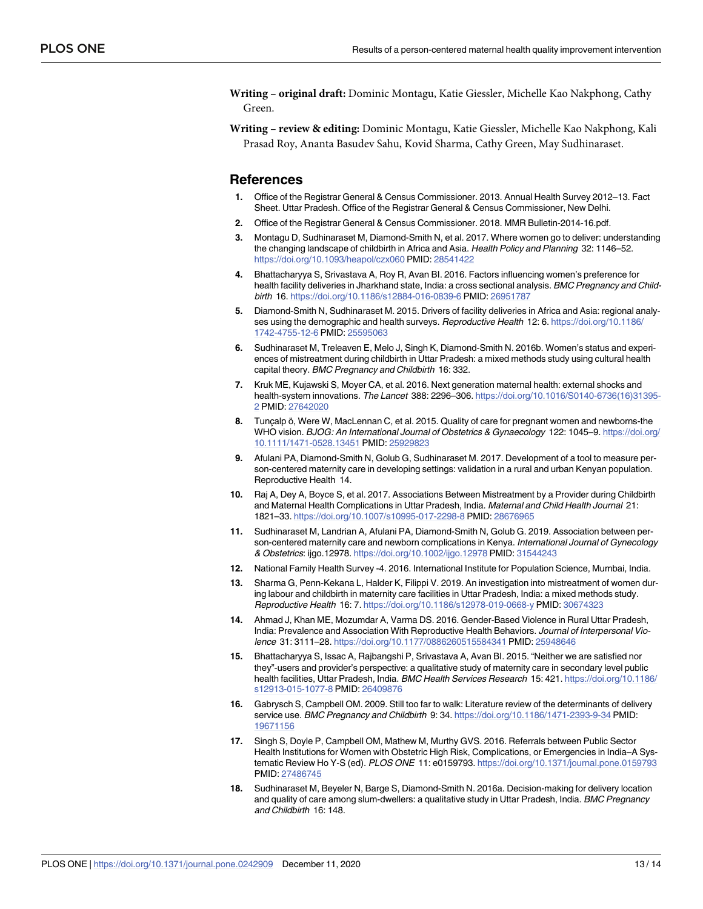<span id="page-12-0"></span>**Writing – original draft:** Dominic Montagu, Katie Giessler, Michelle Kao Nakphong, Cathy Green.

**Writing – review & editing:** Dominic Montagu, Katie Giessler, Michelle Kao Nakphong, Kali Prasad Roy, Ananta Basudev Sahu, Kovid Sharma, Cathy Green, May Sudhinaraset.

#### **References**

- **[1](#page-1-0).** Office of the Registrar General & Census Commissioner. 2013. Annual Health Survey 2012–13. Fact Sheet. Uttar Pradesh. Office of the Registrar General & Census Commissioner, New Delhi.
- **[2](#page-1-0).** Office of the Registrar General & Census Commissioner. 2018. MMR Bulletin-2014-16.pdf.
- **[3](#page-1-0).** Montagu D, Sudhinaraset M, Diamond-Smith N, et al. 2017. Where women go to deliver: understanding the changing landscape of childbirth in Africa and Asia. Health Policy and Planning 32: 1146–52. <https://doi.org/10.1093/heapol/czx060> PMID: [28541422](http://www.ncbi.nlm.nih.gov/pubmed/28541422)
- **[4](#page-1-0).** Bhattacharyya S, Srivastava A, Roy R, Avan BI. 2016. Factors influencing women's preference for health facility deliveries in Jharkhand state, India: a cross sectional analysis. BMC Pregnancy and Childbirth 16. <https://doi.org/10.1186/s12884-016-0839-6> PMID: [26951787](http://www.ncbi.nlm.nih.gov/pubmed/26951787)
- **5.** Diamond-Smith N, Sudhinaraset M. 2015. Drivers of facility deliveries in Africa and Asia: regional analyses using the demographic and health surveys. Reproductive Health 12: 6. [https://doi.org/10.1186/](https://doi.org/10.1186/1742-4755-12-6) [1742-4755-12-6](https://doi.org/10.1186/1742-4755-12-6) PMID: [25595063](http://www.ncbi.nlm.nih.gov/pubmed/25595063)
- **[6](#page-1-0).** Sudhinaraset M, Treleaven E, Melo J, Singh K, Diamond-Smith N. 2016b. Women's status and experiences of mistreatment during childbirth in Uttar Pradesh: a mixed methods study using cultural health capital theory. BMC Pregnancy and Childbirth 16: 332.
- **[7](#page-1-0).** Kruk ME, Kujawski S, Moyer CA, et al. 2016. Next generation maternal health: external shocks and health-system innovations. The Lancet 388: 2296-306. [https://doi.org/10.1016/S0140-6736\(16\)31395-](https://doi.org/10.1016/S0140-6736%2816%2931395-2) [2](https://doi.org/10.1016/S0140-6736%2816%2931395-2) PMID: [27642020](http://www.ncbi.nlm.nih.gov/pubmed/27642020)
- **[8](#page-1-0).** Tuncalp ö, Were W, MacLennan C, et al. 2015. Quality of care for pregnant women and newborns-the WHO vision. BJOG: An International Journal of Obstetrics & Gynaecology 122: 1045–9. [https://doi.org/](https://doi.org/10.1111/1471-0528.13451) [10.1111/1471-0528.13451](https://doi.org/10.1111/1471-0528.13451) PMID: [25929823](http://www.ncbi.nlm.nih.gov/pubmed/25929823)
- **[9](#page-1-0).** Afulani PA, Diamond-Smith N, Golub G, Sudhinaraset M. 2017. Development of a tool to measure person-centered maternity care in developing settings: validation in a rural and urban Kenyan population. Reproductive Health 14.
- **[10](#page-1-0).** Raj A, Dey A, Boyce S, et al. 2017. Associations Between Mistreatment by a Provider during Childbirth and Maternal Health Complications in Uttar Pradesh, India. Maternal and Child Health Journal 21: 1821–33. <https://doi.org/10.1007/s10995-017-2298-8> PMID: [28676965](http://www.ncbi.nlm.nih.gov/pubmed/28676965)
- **[11](#page-1-0).** Sudhinaraset M, Landrian A, Afulani PA, Diamond-Smith N, Golub G. 2019. Association between person-centered maternity care and newborn complications in Kenya. International Journal of Gynecology & Obstetrics: ijgo.12978. <https://doi.org/10.1002/ijgo.12978> PMID: [31544243](http://www.ncbi.nlm.nih.gov/pubmed/31544243)
- **[12](#page-1-0).** National Family Health Survey -4. 2016. International Institute for Population Science, Mumbai, India.
- **[13](#page-1-0).** Sharma G, Penn-Kekana L, Halder K, Filippi V. 2019. An investigation into mistreatment of women during labour and childbirth in maternity care facilities in Uttar Pradesh, India: a mixed methods study. Reproductive Health 16: 7. <https://doi.org/10.1186/s12978-019-0668-y> PMID: [30674323](http://www.ncbi.nlm.nih.gov/pubmed/30674323)
- **[14](#page-1-0).** Ahmad J, Khan ME, Mozumdar A, Varma DS. 2016. Gender-Based Violence in Rural Uttar Pradesh, India: Prevalence and Association With Reproductive Health Behaviors. Journal of Interpersonal Violence 31: 3111–28. <https://doi.org/10.1177/0886260515584341> PMID: [25948646](http://www.ncbi.nlm.nih.gov/pubmed/25948646)
- **[15](#page-1-0).** Bhattacharyya S, Issac A, Rajbangshi P, Srivastava A, Avan BI. 2015. "Neither we are satisfied nor they"-users and provider's perspective: a qualitative study of maternity care in secondary level public health facilities, Uttar Pradesh, India. BMC Health Services Research 15: 421. [https://doi.org/10.1186/](https://doi.org/10.1186/s12913-015-1077-8) [s12913-015-1077-8](https://doi.org/10.1186/s12913-015-1077-8) PMID: [26409876](http://www.ncbi.nlm.nih.gov/pubmed/26409876)
- **[16](#page-1-0).** Gabrysch S, Campbell OM. 2009. Still too far to walk: Literature review of the determinants of delivery service use. BMC Pregnancy and Childbirth 9: 34. <https://doi.org/10.1186/1471-2393-9-34> PMID: [19671156](http://www.ncbi.nlm.nih.gov/pubmed/19671156)
- **[17](#page-1-0).** Singh S, Doyle P, Campbell OM, Mathew M, Murthy GVS. 2016. Referrals between Public Sector Health Institutions for Women with Obstetric High Risk, Complications, or Emergencies in India–A Systematic Review Ho Y-S (ed). PLOS ONE 11: e0159793. <https://doi.org/10.1371/journal.pone.0159793> PMID: [27486745](http://www.ncbi.nlm.nih.gov/pubmed/27486745)
- **[18](#page-1-0).** Sudhinaraset M, Beyeler N, Barge S, Diamond-Smith N. 2016a. Decision-making for delivery location and quality of care among slum-dwellers: a qualitative study in Uttar Pradesh, India. BMC Pregnancy and Childbirth 16: 148.